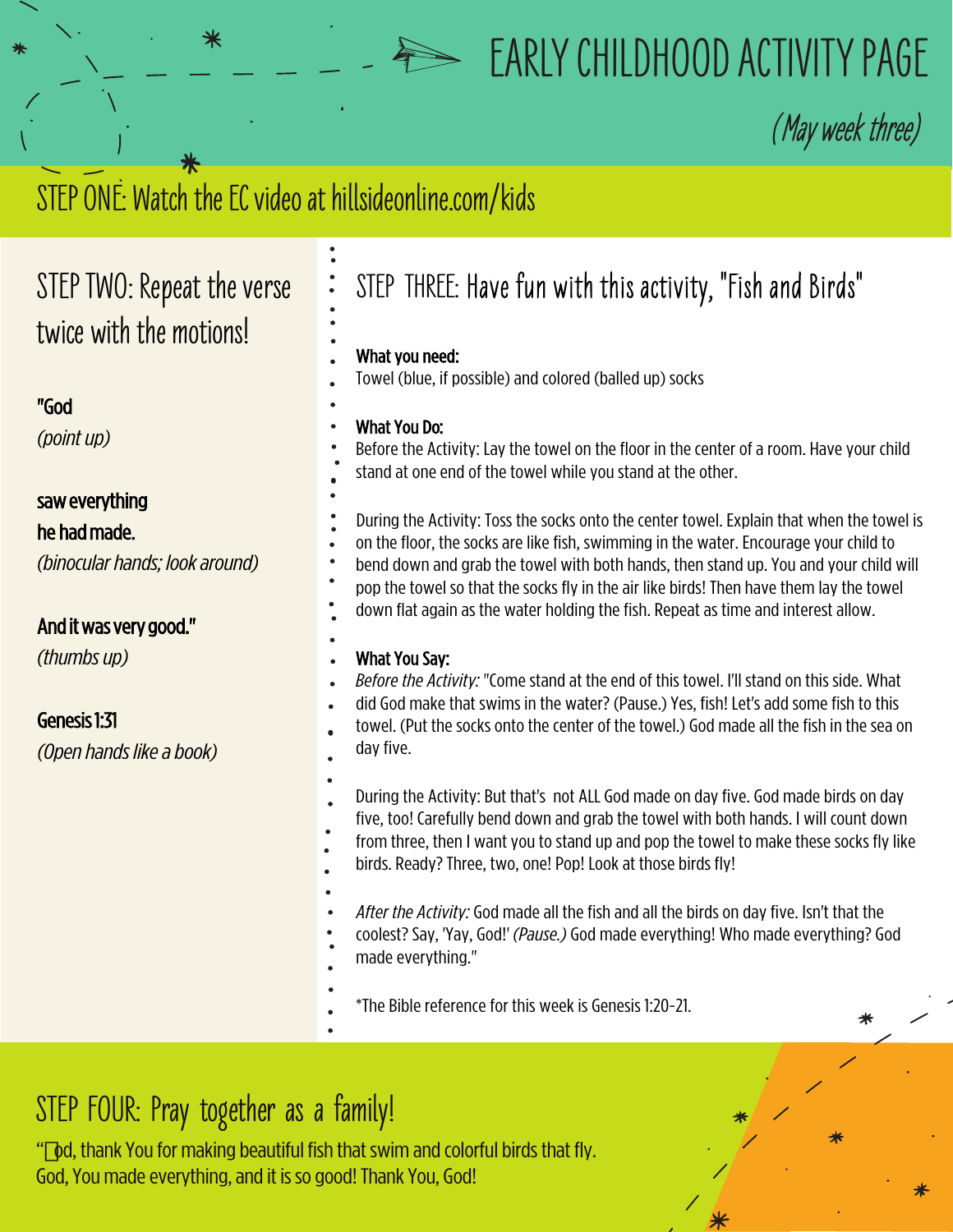

# **EARLY CHILDHOOD ACTIVITY PAGE**

**(**May week three)

# STEP ONE: Watch the EC video at hillsideonline.com/kids

# **STEP TWO: Repeat the verse twice with the motions!**

### "God

*(pointup)*

## saw everything

### he had made.

*(binocular hands; look around)* 

### And it was very good."

*(thumbsup)*

# Genesis 1:31

*(Openhandslikeabook)* 

# **STEP THREE:** Have fun with this activity, "Fish and Birds"

### What you need:

Towel (blue, if possible) and colored (balled up) socks

### What You Do:

Before the Activity: Lay the towel on the floor in the center of a room. Have your child stand at one end of the towel while you stand at the other.

During the Activity: Toss the socks onto the center towel. Explain that when the towel is on the floor, the socks are like fish, swimming in the water. Encourage your child to bend down and grab the towel with both hands, then stand up. You and your child will pop the towel so that the socks fly in the air like birds! Then have them lay the towel down flat again as the water holding the fish. Repeat as time and interest allow.

#### What You Say:

- *Before the Activity:* "Come stand at the end of this towel. I'll stand on this side. What
- did God make that swims in the water? (Pause.) Yes, fish! Let's add some fish to this
- towel. (Put the socks onto the center of the towel.) God made all the fish in the sea on day five.
- During the Activity: But that's not ALL God made on day five. God made birds on day five, too! Carefully bend down and grab the towel with both hands. I will count down
- from three, then I want you to stand up and pop the towel to make these socks fly like
- birds. Ready? Three, two, one! Pop! Look at those birds fly!
- - *After the Activity:* God made all the fish and all the birds on day five. Isn't that the
	- coolest? Say, 'Yay, God!' *(Pause.)* God made everything! Who made everything? God
	- made everything."

\*The Bible reference for this week is Genesis 1:20-21.

# **STEP FOUR: Pray together as a family!**

" od, thank You for making beautiful fish that swim and colorful birds that fly. God, You made everything, and it is so good! Thank You, God!